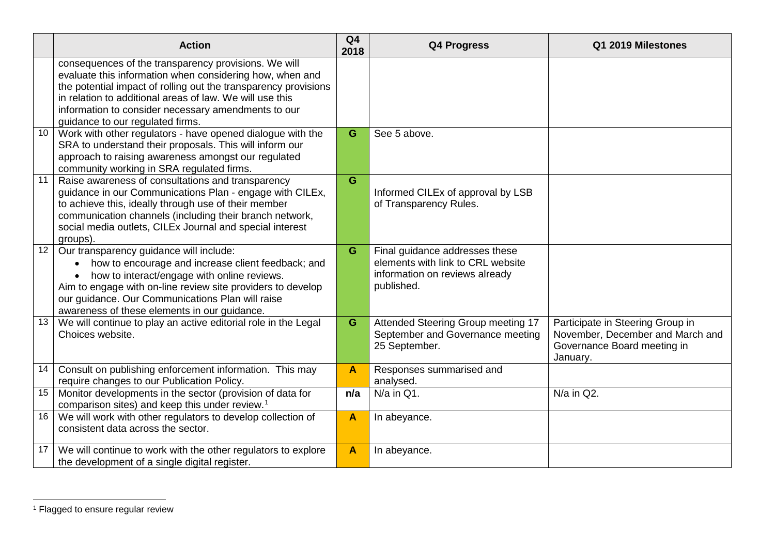## <span id="page-2-0"></span>APPENDIX 5

|    | <b>Action</b>                                                                                                                                                                                                                                                                                                                              | Q <sub>4</sub><br>2018 | <b>Q4 Progress</b>                                                                                                  | Q1 2019 Milestones                                                                                              |
|----|--------------------------------------------------------------------------------------------------------------------------------------------------------------------------------------------------------------------------------------------------------------------------------------------------------------------------------------------|------------------------|---------------------------------------------------------------------------------------------------------------------|-----------------------------------------------------------------------------------------------------------------|
|    | consequences of the transparency provisions. We will<br>evaluate this information when considering how, when and<br>the potential impact of rolling out the transparency provisions<br>in relation to additional areas of law. We will use this<br>information to consider necessary amendments to our<br>guidance to our regulated firms. |                        |                                                                                                                     |                                                                                                                 |
| 10 | Work with other regulators - have opened dialogue with the<br>SRA to understand their proposals. This will inform our<br>approach to raising awareness amongst our regulated<br>community working in SRA regulated firms.                                                                                                                  | G                      | See 5 above.                                                                                                        |                                                                                                                 |
| 11 | Raise awareness of consultations and transparency<br>guidance in our Communications Plan - engage with CILEx,<br>to achieve this, ideally through use of their member<br>communication channels (including their branch network,<br>social media outlets, CILEx Journal and special interest<br>groups).                                   | G                      | Informed CILEx of approval by LSB<br>of Transparency Rules.                                                         |                                                                                                                 |
| 12 | Our transparency guidance will include:<br>how to encourage and increase client feedback; and<br>how to interact/engage with online reviews.<br>Aim to engage with on-line review site providers to develop<br>our guidance. Our Communications Plan will raise<br>awareness of these elements in our guidance.                            | G                      | Final guidance addresses these<br>elements with link to CRL website<br>information on reviews already<br>published. |                                                                                                                 |
| 13 | We will continue to play an active editorial role in the Legal<br>Choices website.                                                                                                                                                                                                                                                         | G                      | Attended Steering Group meeting 17<br>September and Governance meeting<br>25 September.                             | Participate in Steering Group in<br>November, December and March and<br>Governance Board meeting in<br>January. |
| 14 | Consult on publishing enforcement information. This may<br>require changes to our Publication Policy.                                                                                                                                                                                                                                      | $\blacktriangle$       | Responses summarised and<br>analysed.                                                                               |                                                                                                                 |
| 15 | Monitor developments in the sector (provision of data for<br>comparison sites) and keep this under review. <sup>1</sup>                                                                                                                                                                                                                    | n/a                    | $N/a$ in Q1.                                                                                                        | $N/a$ in Q2.                                                                                                    |
| 16 | We will work with other regulators to develop collection of<br>consistent data across the sector.                                                                                                                                                                                                                                          | A                      | In abeyance.                                                                                                        |                                                                                                                 |
| 17 | We will continue to work with the other regulators to explore<br>the development of a single digital register.                                                                                                                                                                                                                             | $\blacktriangle$       | In abeyance.                                                                                                        |                                                                                                                 |